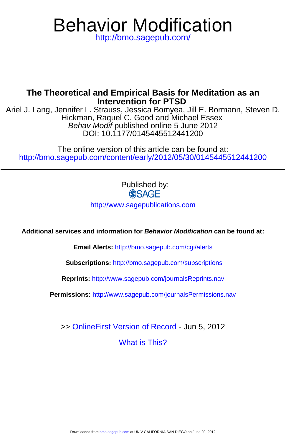# <http://bmo.sagepub.com/> Behavior Modification

## **Intervention for PTSD The Theoretical and Empirical Basis for Meditation as an**

DOI: 10.1177/0145445512441200 Behav Modif published online 5 June 2012 Hickman, Raquel C. Good and Michael Essex Ariel J. Lang, Jennifer L. Strauss, Jessica Bomyea, Jill E. Bormann, Steven D.

<http://bmo.sagepub.com/content/early/2012/05/30/0145445512441200> The online version of this article can be found at:

Published by:<br>SAGE

<http://www.sagepublications.com>

**Additional services and information for Behavior Modification can be found at:**

**Email Alerts:** <http://bmo.sagepub.com/cgi/alerts>

**Subscriptions:** <http://bmo.sagepub.com/subscriptions>

**Reprints:** <http://www.sagepub.com/journalsReprints.nav>

**Permissions:** <http://www.sagepub.com/journalsPermissions.nav>

[What is This?](http://online.sagepub.com/site/sphelp/vorhelp.xhtml) >> [OnlineFirst Version of Record -](http://bmo.sagepub.com/content/early/2012/05/30/0145445512441200.full.pdf) Jun 5, 2012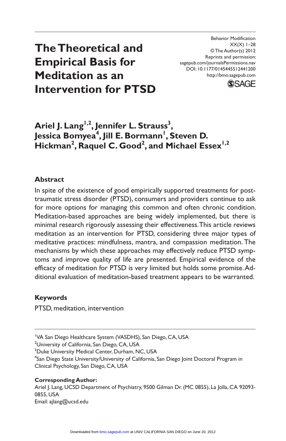# **The Theoretical and Empirical Basis for Meditation as an Intervention for PTSD**

Behavior Modification  $XX(X)$  1–28 © The Author(s) 2012 Reprints and permission: sagepub.com/journalsPermissions.nav DOI: 10.1177/0145445512441200 http://bmo.sagepub.com



# Ariel J. Lang<sup>1,2</sup>, Jennifer L. Strauss<sup>3</sup>, Jessica Bomyea<sup>4</sup>, Jill E. Bormann<sup>I</sup>, Steven D.  $H$ ickman<sup>2</sup>, Raquel C. Good<sup>2</sup>, and Michael Essex<sup>1,2</sup>

#### **Abstract**

In spite of the existence of good empirically supported treatments for posttraumatic stress disorder (PTSD), consumers and providers continue to ask for more options for managing this common and often chronic condition. Meditation-based approaches are being widely implemented, but there is minimal research rigorously assessing their effectiveness. This article reviews meditation as an intervention for PTSD, considering three major types of meditative practices: mindfulness, mantra, and compassion meditation. The mechanisms by which these approaches may effectively reduce PTSD symptoms and improve quality of life are presented. Empirical evidence of the efficacy of meditation for PTSD is very limited but holds some promise. Additional evaluation of meditation-based treatment appears to be warranted.

#### **Keywords**

PTSD, meditation, intervention

<sup>1</sup>VA San Diego Healthcare System (VASDHS), San Diego, CA, USA

<sup>2</sup>University of California, San Diego, CA, USA

<sup>3</sup>Duke University Medical Center, Durham, NC, USA

4 San Diego State University/University of California, San Diego Joint Doctoral Program in Clinical Psychology, San Diego, CA, USA

#### **Corresponding Author:**

Ariel J. Lang, UCSD Department of Psychiatry, 9500 Gilman Dr. (MC 0855), La Jolla, CA 92093-0855, USA Email: ajlang@ucsd.edu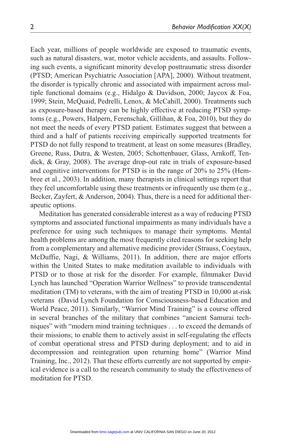Each year, millions of people worldwide are exposed to traumatic events, such as natural disasters, war, motor vehicle accidents, and assaults. Following such events, a significant minority develop posttraumatic stress disorder (PTSD; American Psychiatric Association [APA], 2000). Without treatment, the disorder is typically chronic and associated with impairment across multiple functional domains (e.g., Hidalgo & Davidson, 2000; Jaycox & Foa, 1999; Stein, McQuaid, Pedrelli, Lenox, & McCahill, 2000). Treatments such as exposure-based therapy can be highly effective at reducing PTSD symptoms (e.g., Powers, Halpern, Ferenschak, Gillihan, & Foa, 2010), but they do not meet the needs of every PTSD patient. Estimates suggest that between a third and a half of patients receiving empirically supported treatments for PTSD do not fully respond to treatment, at least on some measures (Bradley, Greene, Russ, Dutra, & Westen, 2005; Schottenbauer, Glass, Arnkoff, Tendick, & Gray, 2008). The average drop-out rate in trials of exposure-based and cognitive interventions for PTSD is in the range of 20% to 25% (Hembree et al., 2003). In addition, many therapists in clinical settings report that they feel uncomfortable using these treatments or infrequently use them (e.g., Becker, Zayfert, & Anderson, 2004). Thus, there is a need for additional therapeutic options.

Meditation has generated considerable interest as a way of reducing PTSD symptoms and associated functional impairments as many individuals have a preference for using such techniques to manage their symptoms. Mental health problems are among the most frequently cited reasons for seeking help from a complementary and alternative medicine provider (Strauss, Coeytaux, McDuffie, Nagi, & Williams, 2011). In addition, there are major efforts within the United States to make meditation available to individuals with PTSD or to those at risk for the disorder. For example, filmmaker David Lynch has launched "Operation Warrior Wellness" to provide transcendental meditation (TM) to veterans, with the aim of treating PTSD in 10,000 at-risk veterans (David Lynch Foundation for Consciousness-based Education and World Peace, 2011). Similarly, "Warrior Mind Training" is a course offered in several branches of the military that combines "ancient Samurai techniques" with "modern mind training techniques . . . to exceed the demands of their missions; to enable them to actively assist in self-regulating the effects of combat operational stress and PTSD during deployment; and to aid in decompression and reintegration upon returning home" (Warrior Mind Training, Inc., 2012). That these efforts currently are not supported by empirical evidence is a call to the research community to study the effectiveness of meditation for PTSD.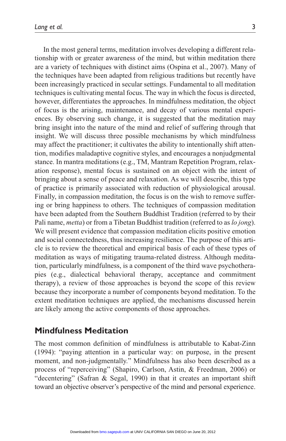In the most general terms, meditation involves developing a different relationship with or greater awareness of the mind, but within meditation there are a variety of techniques with distinct aims (Ospina et al., 2007). Many of the techniques have been adapted from religious traditions but recently have been increasingly practiced in secular settings. Fundamental to all meditation techniques is cultivating mental focus. The way in which the focus is directed, however, differentiates the approaches. In mindfulness meditation, the object of focus is the arising, maintenance, and decay of various mental experiences. By observing such change, it is suggested that the meditation may bring insight into the nature of the mind and relief of suffering through that insight. We will discuss three possible mechanisms by which mindfulness may affect the practitioner; it cultivates the ability to intentionally shift attention, modifies maladaptive cognitive styles, and encourages a nonjudgmental stance. In mantra meditations (e.g., TM, Mantram Repetition Program, relaxation response), mental focus is sustained on an object with the intent of bringing about a sense of peace and relaxation. As we will describe, this type of practice is primarily associated with reduction of physiological arousal. Finally, in compassion meditation, the focus is on the wish to remove suffering or bring happiness to others. The techniques of compassion meditation have been adapted from the Southern Buddhist Tradition (referred to by their Pali name, *metta*) or from a Tibetan Buddhist tradition (referred to as *lo jong*). We will present evidence that compassion meditation elicits positive emotion and social connectedness, thus increasing resilience. The purpose of this article is to review the theoretical and empirical basis of each of these types of meditation as ways of mitigating trauma-related distress. Although meditation, particularly mindfulness, is a component of the third wave psychotherapies (e.g., dialectical behavioral therapy, acceptance and commitment therapy), a review of those approaches is beyond the scope of this review because they incorporate a number of components beyond meditation. To the extent meditation techniques are applied, the mechanisms discussed herein are likely among the active components of those approaches.

### **Mindfulness Meditation**

The most common definition of mindfulness is attributable to Kabat-Zinn (1994): "paying attention in a particular way: on purpose, in the present moment, and non-judgmentally." Mindfulness has also been described as a process of "reperceiving" (Shapiro, Carlson, Astin, & Freedman, 2006) or "decentering" (Safran & Segal, 1990) in that it creates an important shift toward an objective observer's perspective of the mind and personal experience.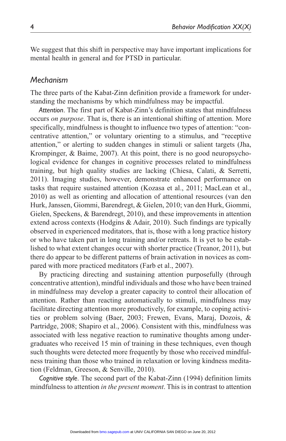We suggest that this shift in perspective may have important implications for mental health in general and for PTSD in particular.

#### *Mechanism*

The three parts of the Kabat-Zinn definition provide a framework for understanding the mechanisms by which mindfulness may be impactful.

*Attention*. The first part of Kabat-Zinn's definition states that mindfulness occurs *on purpose*. That is, there is an intentional shifting of attention. More specifically, mindfulness is thought to influence two types of attention: "concentrative attention," or voluntary orienting to a stimulus, and "receptive attention," or alerting to sudden changes in stimuli or salient targets (Jha, Krompinger, & Baime, 2007). At this point, there is no good neuropsychological evidence for changes in cognitive processes related to mindfulness training, but high quality studies are lacking (Chiesa, Calati, & Serretti, 2011). Imaging studies, however, demonstrate enhanced performance on tasks that require sustained attention (Kozasa et al., 2011; MacLean et al., 2010) as well as orienting and allocation of attentional resources (van den Hurk, Janssen, Giommi, Barendregt, & Gielen, 2010; van den Hurk, Giommi, Gielen, Speckens, & Barendregt, 2010), and these improvements in attention extend across contexts (Hodgins & Adair, 2010). Such findings are typically observed in experienced meditators, that is, those with a long practice history or who have taken part in long training and/or retreats. It is yet to be established to what extent changes occur with shorter practice (Treanor, 2011), but there do appear to be different patterns of brain activation in novices as compared with more practiced meditators (Farb et al., 2007).

By practicing directing and sustaining attention purposefully (through concentrative attention), mindful individuals and those who have been trained in mindfulness may develop a greater capacity to control their allocation of attention. Rather than reacting automatically to stimuli, mindfulness may facilitate directing attention more productively, for example, to coping activities or problem solving (Baer, 2003; Frewen, Evans, Maraj, Dozois, & Partridge, 2008; Shapiro et al., 2006). Consistent with this, mindfulness was associated with less negative reaction to ruminative thoughts among undergraduates who received 15 min of training in these techniques, even though such thoughts were detected more frequently by those who received mindfulness training than those who trained in relaxation or loving kindness meditation (Feldman, Greeson, & Senville, 2010).

*Cognitive style*. The second part of the Kabat-Zinn (1994) definition limits mindfulness to attention *in the present moment*. This is in contrast to attention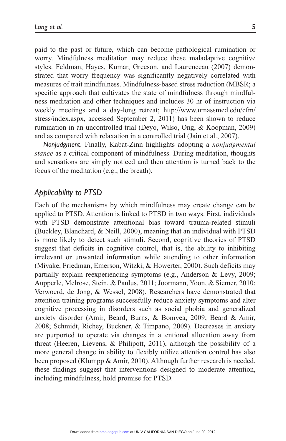paid to the past or future, which can become pathological rumination or worry. Mindfulness meditation may reduce these maladaptive cognitive styles. Feldman, Hayes, Kumar, Greeson, and Laurenceau (2007) demonstrated that worry frequency was significantly negatively correlated with measures of trait mindfulness. Mindfulness-based stress reduction (MBSR; a specific approach that cultivates the state of mindfulness through mindfulness meditation and other techniques and includes 30 hr of instruction via weekly meetings and a day-long retreat; http://www.umassmed.edu/cfm/ stress/index.aspx, accessed September 2, 2011) has been shown to reduce rumination in an uncontrolled trial (Deyo, Wilso, Ong, & Koopman, 2009) and as compared with relaxation in a controlled trial (Jain et al., 2007).

*Nonjudgment*. Finally, Kabat-Zinn highlights adopting a *nonjudgmental stance* as a critical component of mindfulness. During meditation, thoughts and sensations are simply noticed and then attention is turned back to the focus of the meditation (e.g., the breath).

#### *Applicability to PTSD*

Each of the mechanisms by which mindfulness may create change can be applied to PTSD. Attention is linked to PTSD in two ways. First, individuals with PTSD demonstrate attentional bias toward trauma-related stimuli (Buckley, Blanchard, & Neill, 2000), meaning that an individual with PTSD is more likely to detect such stimuli. Second, cognitive theories of PTSD suggest that deficits in cognitive control, that is, the ability to inhibiting irrelevant or unwanted information while attending to other information (Miyake, Friedman, Emerson, Witzki, & Howerter, 2000). Such deficits may partially explain reexperiencing symptoms (e.g., Anderson & Levy, 2009; Aupperle, Melrose, Stein, & Paulus, 2011; Joormann, Yoon, & Siemer, 2010; Verwoerd, de Jong, & Wessel, 2008). Researchers have demonstrated that attention training programs successfully reduce anxiety symptoms and alter cognitive processing in disorders such as social phobia and generalized anxiety disorder (Amir, Beard, Burns, & Bomyea, 2009; Beard & Amir, 2008; Schmidt, Richey, Buckner, & Timpano, 2009). Decreases in anxiety are purported to operate via changes in attentional allocation away from threat (Heeren, Lievens, & Philipott, 2011), although the possibility of a more general change in ability to flexibly utilize attention control has also been proposed (Klumpp & Amir, 2010). Although further research is needed, these findings suggest that interventions designed to moderate attention, including mindfulness, hold promise for PTSD.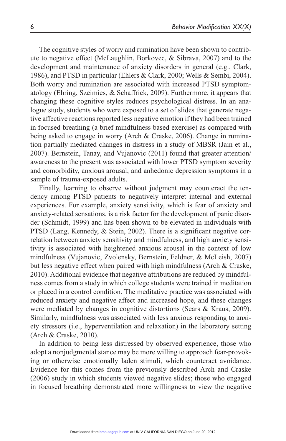The cognitive styles of worry and rumination have been shown to contribute to negative effect (McLaughlin, Borkovec, & Sibrava, 2007) and to the development and maintenance of anxiety disorders in general (e.g., Clark, 1986), and PTSD in particular (Ehlers & Clark, 2000; Wells & Sembi, 2004). Both worry and rumination are associated with increased PTSD symptomatology (Ehring, Szeimies, & Schaffrick, 2009). Furthermore, it appears that changing these cognitive styles reduces psychological distress. In an analogue study, students who were exposed to a set of slides that generate negative affective reactions reported less negative emotion if they had been trained in focused breathing (a brief mindfulness based exercise) as compared with being asked to engage in worry (Arch & Craske, 2006). Change in rumination partially mediated changes in distress in a study of MBSR (Jain et al., 2007). Bernstein, Tanay, and Vujanovic (2011) found that greater attention/ awareness to the present was associated with lower PTSD symptom severity and comorbidity, anxious arousal, and anhedonic depression symptoms in a sample of trauma-exposed adults.

Finally, learning to observe without judgment may counteract the tendency among PTSD patients to negatively interpret internal and external experiences. For example, anxiety sensitivity, which is fear of anxiety and anxiety-related sensations, is a risk factor for the development of panic disorder (Schmidt, 1999) and has been shown to be elevated in individuals with PTSD (Lang, Kennedy, & Stein, 2002). There is a significant negative correlation between anxiety sensitivity and mindfulness, and high anxiety sensitivity is associated with heightened anxious arousal in the context of low mindfulness (Vujanovic, Zvolensky, Bernstein, Feldner, & McLeish, 2007) but less negative effect when paired with high mindfulness (Arch & Craske, 2010). Additional evidence that negative attributions are reduced by mindfulness comes from a study in which college students were trained in meditation or placed in a control condition. The meditative practice was associated with reduced anxiety and negative affect and increased hope, and these changes were mediated by changes in cognitive distortions (Sears & Kraus, 2009). Similarly, mindfulness was associated with less anxious responding to anxiety stressors (i.e., hyperventilation and relaxation) in the laboratory setting (Arch & Craske, 2010).

In addition to being less distressed by observed experience, those who adopt a nonjudgmental stance may be more willing to approach fear-provoking or otherwise emotionally laden stimuli, which counteract avoidance. Evidence for this comes from the previously described Arch and Craske (2006) study in which students viewed negative slides; those who engaged in focused breathing demonstrated more willingness to view the negative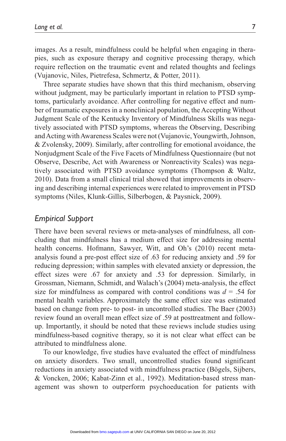images. As a result, mindfulness could be helpful when engaging in therapies, such as exposure therapy and cognitive processing therapy, which require reflection on the traumatic event and related thoughts and feelings (Vujanovic, Niles, Pietrefesa, Schmertz, & Potter, 2011).

Three separate studies have shown that this third mechanism, observing without judgment, may be particularly important in relation to PTSD symptoms, particularly avoidance. After controlling for negative effect and number of traumatic exposures in a nonclinical population, the Accepting Without Judgment Scale of the Kentucky Inventory of Mindfulness Skills was negatively associated with PTSD symptoms, whereas the Observing, Describing and Acting with Awareness Scales were not (Vujanovic, Youngwirth, Johnson, & Zvolensky, 2009). Similarly, after controlling for emotional avoidance, the Nonjudgment Scale of the Five Facets of Mindfulness Questionnaire (but not Observe, Describe, Act with Awareness or Nonreactivity Scales) was negatively associated with PTSD avoidance symptoms (Thompson & Waltz, 2010). Data from a small clinical trial showed that improvements in observing and describing internal experiences were related to improvement in PTSD symptoms (Niles, Klunk-Gillis, Silberbogen, & Paysnick, 2009).

#### *Empirical Support*

There have been several reviews or meta-analyses of mindfulness, all concluding that mindfulness has a medium effect size for addressing mental health concerns. Hofmann, Sawyer, Witt, and Oh's (2010) recent metaanalysis found a pre-post effect size of .63 for reducing anxiety and .59 for reducing depression; within samples with elevated anxiety or depression, the effect sizes were .67 for anxiety and .53 for depression. Similarly, in Grossman, Niemann, Schmidt, and Walach's (2004) meta-analysis, the effect size for mindfulness as compared with control conditions was  $d = .54$  for mental health variables. Approximately the same effect size was estimated based on change from pre- to post- in uncontrolled studies. The Baer (2003) review found an overall mean effect size of .59 at posttreatment and followup. Importantly, it should be noted that these reviews include studies using mindfulness-based cognitive therapy, so it is not clear what effect can be attributed to mindfulness alone.

To our knowledge, five studies have evaluated the effect of mindfulness on anxiety disorders. Two small, uncontrolled studies found significant reductions in anxiety associated with mindfulness practice (Bögels, Sijbers, & Voncken, 2006; Kabat-Zinn et al., 1992). Meditation-based stress management was shown to outperform psychoeducation for patients with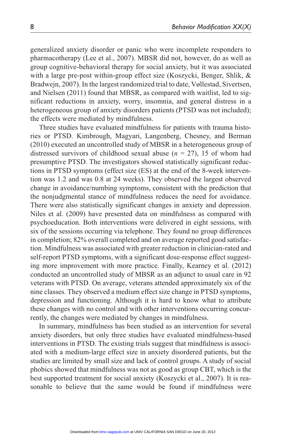generalized anxiety disorder or panic who were incomplete responders to pharmacotherapy (Lee et al., 2007). MBSR did not, however, do as well as group cognitive-behavioral therapy for social anxiety, but it was associated with a large pre-post within-group effect size (Koszycki, Benger, Shlik, & Bradwejn, 2007). In the largest randomized trial to date, Vøllestad, Sivertsen, and Nielsen (2011) found that MBSR, as compared with waitlist, led to significant reductions in anxiety, worry, insomnia, and general distress in a heterogeneous group of anxiety disorders patients (PTSD was not included); the effects were mediated by mindfulness.

Three studies have evaluated mindfulness for patients with trauma histories or PTSD. Kimbrough, Magyari, Langenberg, Chesney, and Berman (2010) executed an uncontrolled study of MBSR in a heterogeneous group of distressed survivors of childhood sexual abuse (*n* = 27), 15 of whom had presumptive PTSD. The investigators showed statistically significant reductions in PTSD symptoms (effect size (ES) at the end of the 8-week intervention was 1.2 and was 0.8 at 24 weeks). They observed the largest observed change in avoidance/numbing symptoms, consistent with the prediction that the nonjudgmental stance of mindfulness reduces the need for avoidance. There were also statistically significant changes in anxiety and depression. Niles et al. (2009) have presented data on mindfulness as compared with psychoeducation. Both interventions were delivered in eight sessions, with six of the sessions occurring via telephone. They found no group differences in completion; 82% overall completed and on average reported good satisfaction. Mindfulness was associated with greater reduction in clinician-rated and self-report PTSD symptoms, with a significant dose-response effect suggesting more improvement with more practice. Finally, Kearney et al. (2012) conducted an uncontrolled study of MBSR as an adjunct to usual care in 92 veterans with PTSD. On average, veterans attended approximately six of the nine classes. They observed a medium effect size change in PTSD symptoms, depression and functioning. Although it is hard to know what to attribute these changes with no control and with other interventions occurring concurrently, the changes were mediated by changes in mindfulness.

In summary, mindfulness has been studied as an intervention for several anxiety disorders, but only three studies have evaluated mindfulness-based interventions in PTSD. The existing trials suggest that mindfulness is associated with a medium-large effect size in anxiety disordered patients, but the studies are limited by small size and lack of control groups. A study of social phobics showed that mindfulness was not as good as group CBT, which is the best supported treatment for social anxiety (Koszycki et al., 2007). It is reasonable to believe that the same would be found if mindfulness were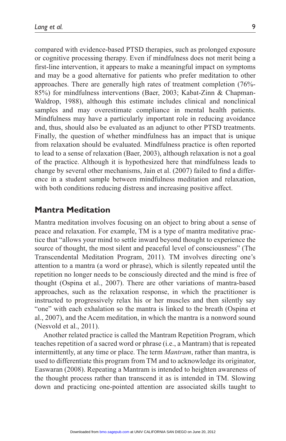compared with evidence-based PTSD therapies, such as prolonged exposure or cognitive processing therapy. Even if mindfulness does not merit being a first-line intervention, it appears to make a meaningful impact on symptoms and may be a good alternative for patients who prefer meditation to other approaches. There are generally high rates of treatment completion (76%- 85%) for mindfulness interventions (Baer, 2003; Kabat-Zinn & Chapman-Waldrop, 1988), although this estimate includes clinical and nonclinical samples and may overestimate compliance in mental health patients. Mindfulness may have a particularly important role in reducing avoidance and, thus, should also be evaluated as an adjunct to other PTSD treatments. Finally, the question of whether mindfulness has an impact that is unique from relaxation should be evaluated. Mindfulness practice is often reported to lead to a sense of relaxation (Baer, 2003), although relaxation is not a goal of the practice. Although it is hypothesized here that mindfulness leads to change by several other mechanisms, Jain et al. (2007) failed to find a difference in a student sample between mindfulness meditation and relaxation, with both conditions reducing distress and increasing positive affect.

## **Mantra Meditation**

Mantra meditation involves focusing on an object to bring about a sense of peace and relaxation. For example, TM is a type of mantra meditative practice that "allows your mind to settle inward beyond thought to experience the source of thought, the most silent and peaceful level of consciousness" (The Transcendental Meditation Program, 2011). TM involves directing one's attention to a mantra (a word or phrase), which is silently repeated until the repetition no longer needs to be consciously directed and the mind is free of thought (Ospina et al., 2007). There are other variations of mantra-based approaches, such as the relaxation response, in which the practitioner is instructed to progressively relax his or her muscles and then silently say "one" with each exhalation so the mantra is linked to the breath (Ospina et al., 2007), and the Acem meditation, in which the mantra is a nonword sound (Nesvold et al., 2011).

Another related practice is called the Mantram Repetition Program, which teaches repetition of a sacred word or phrase (i.e., a Mantram) that is repeated intermittently, at any time or place. The term *Mantram*, rather than mantra, is used to differentiate this program from TM and to acknowledge its originator, Easwaran (2008). Repeating a Mantram is intended to heighten awareness of the thought process rather than transcend it as is intended in TM. Slowing down and practicing one-pointed attention are associated skills taught to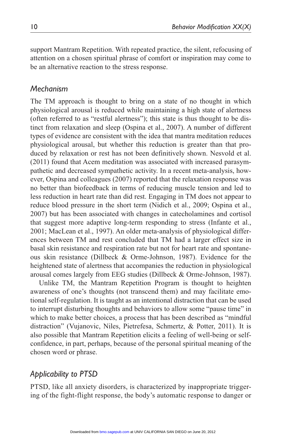support Mantram Repetition. With repeated practice, the silent, refocusing of attention on a chosen spiritual phrase of comfort or inspiration may come to be an alternative reaction to the stress response.

#### *Mechanism*

The TM approach is thought to bring on a state of no thought in which physiological arousal is reduced while maintaining a high state of alertness (often referred to as "restful alertness"); this state is thus thought to be distinct from relaxation and sleep (Ospina et al., 2007). A number of different types of evidence are consistent with the idea that mantra meditation reduces physiological arousal, but whether this reduction is greater than that produced by relaxation or rest has not been definitively shown. Nesvold et al. (2011) found that Acem meditation was associated with increased parasympathetic and decreased sympathetic activity. In a recent meta-analysis, however, Ospina and colleagues (2007) reported that the relaxation response was no better than biofeedback in terms of reducing muscle tension and led to less reduction in heart rate than did rest. Engaging in TM does not appear to reduce blood pressure in the short term (Nidich et al., 2009; Ospina et al., 2007) but has been associated with changes in catecholamines and cortisol that suggest more adaptive long-term responding to stress (Infante et al., 2001; MacLean et al., 1997). An older meta-analysis of physiological differences between TM and rest concluded that TM had a larger effect size in basal skin resistance and respiration rate but not for heart rate and spontaneous skin resistance (Dillbeck & Orme-Johnson, 1987). Evidence for the heightened state of alertness that accompanies the reduction in physiological arousal comes largely from EEG studies (Dillbeck & Orme-Johnson, 1987).

Unlike TM, the Mantram Repetition Program is thought to heighten awareness of one's thoughts (not transcend them) and may facilitate emotional self-regulation. It is taught as an intentional distraction that can be used to interrupt disturbing thoughts and behaviors to allow some "pause time" in which to make better choices, a process that has been described as "mindful distraction" (Vujanovic, Niles, Pietrefesa, Schmertz, & Potter, 2011). It is also possible that Mantram Repetition elicits a feeling of well-being or selfconfidence, in part, perhaps, because of the personal spiritual meaning of the chosen word or phrase.

### *Applicability to PTSD*

PTSD, like all anxiety disorders, is characterized by inappropriate triggering of the fight-flight response, the body's automatic response to danger or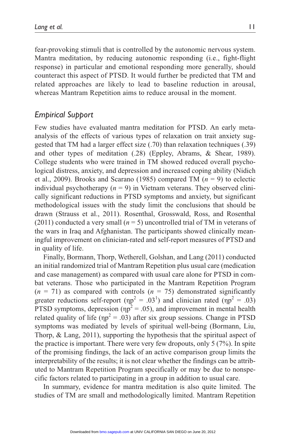fear-provoking stimuli that is controlled by the autonomic nervous system. Mantra meditation, by reducing autonomic responding (i.e., fight-flight response) in particular and emotional responding more generally, should counteract this aspect of PTSD. It would further be predicted that TM and related approaches are likely to lead to baseline reduction in arousal, whereas Mantram Repetition aims to reduce arousal in the moment.

#### *Empirical Support*

Few studies have evaluated mantra meditation for PTSD. An early metaanalysis of the effects of various types of relaxation on trait anxiety suggested that TM had a larger effect size (.70) than relaxation techniques (.39) and other types of meditation (.28) (Eppley, Abrams, & Shear, 1989). College students who were trained in TM showed reduced overall psychological distress, anxiety, and depression and increased coping ability (Nidich et al., 2009). Brooks and Scarano (1985) compared TM (*n* = 9) to eclectic individual psychotherapy  $(n = 9)$  in Vietnam veterans. They observed clinically significant reductions in PTSD symptoms and anxiety, but significant methodological issues with the study limit the conclusions that should be drawn (Strauss et al., 2011). Rosenthal, Grosswald, Ross, and Rosenthal (2011) conducted a very small  $(n = 5)$  uncontrolled trial of TM in veterans of the wars in Iraq and Afghanistan. The participants showed clinically meaningful improvement on clinician-rated and self-report measures of PTSD and in quality of life.

Finally, Bormann, Thorp, Wetherell, Golshan, and Lang (2011) conducted an initial randomized trial of Mantram Repetition plus usual care (medication and case management) as compared with usual care alone for PTSD in combat veterans. Those who participated in the Mantram Repetition Program  $(n = 71)$  as compared with controls  $(n = 75)$  demonstrated significantly greater reductions self-report ( $np^2 = .03^1$ ) and clinician rated ( $np^2 = .03$ ) PTSD symptoms, depression ( $np^2 = .05$ ), and improvement in mental health related quality of life ( $np^2 = .03$ ) after six group sessions. Change in PTSD symptoms was mediated by levels of spiritual well-being (Bormann, Liu, Thorp, & Lang, 2011), supporting the hypothesis that the spiritual aspect of the practice is important. There were very few dropouts, only 5 (7%). In spite of the promising findings, the lack of an active comparison group limits the interpretability of the results; it is not clear whether the findings can be attributed to Mantram Repetition Program specifically or may be due to nonspecific factors related to participating in a group in addition to usual care.

In summary, evidence for mantra meditation is also quite limited. The studies of TM are small and methodologically limited. Mantram Repetition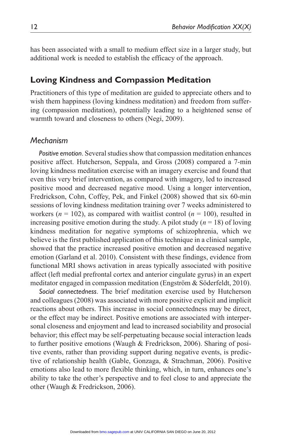has been associated with a small to medium effect size in a larger study, but additional work is needed to establish the efficacy of the approach.

### **Loving Kindness and Compassion Meditation**

Practitioners of this type of meditation are guided to appreciate others and to wish them happiness (loving kindness meditation) and freedom from suffering (compassion meditation), potentially leading to a heightened sense of warmth toward and closeness to others (Negi, 2009).

#### *Mechanism*

*Positive emotion*. Several studies show that compassion meditation enhances positive affect. Hutcherson, Seppala, and Gross (2008) compared a 7-min loving kindness meditation exercise with an imagery exercise and found that even this very brief intervention, as compared with imagery, led to increased positive mood and decreased negative mood. Using a longer intervention, Fredrickson, Cohn, Coffey, Pek, and Finkel (2008) showed that six 60-min sessions of loving kindness meditation training over 7 weeks administered to workers ( $n = 102$ ), as compared with waitlist control ( $n = 100$ ), resulted in increasing positive emotion during the study. A pilot study  $(n = 18)$  of loving kindness meditation for negative symptoms of schizophrenia, which we believe is the first published application of this technique in a clinical sample, showed that the practice increased positive emotion and decreased negative emotion (Garland et al. 2010). Consistent with these findings, evidence from functional MRI shows activation in areas typically associated with positive affect (left medial prefrontal cortex and anterior cingulate gyrus) in an expert meditator engaged in compassion meditation (Engström & Söderfeldt, 2010).

*Social connectedness*. The brief meditation exercise used by Hutcherson and colleagues (2008) was associated with more positive explicit and implicit reactions about others. This increase in social connectedness may be direct, or the effect may be indirect. Positive emotions are associated with interpersonal closeness and enjoyment and lead to increased sociability and prosocial behavior; this effect may be self-perpetuating because social interaction leads to further positive emotions (Waugh & Fredrickson, 2006). Sharing of positive events, rather than providing support during negative events, is predictive of relationship health (Gable, Gonzaga, & Strachman, 2006). Positive emotions also lead to more flexible thinking, which, in turn, enhances one's ability to take the other's perspective and to feel close to and appreciate the other (Waugh & Fredrickson, 2006).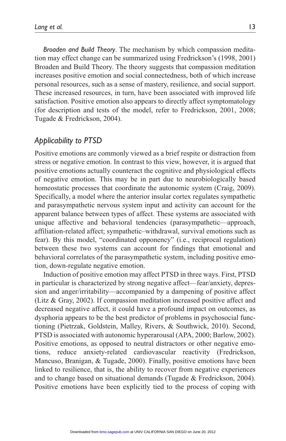*Broaden and Build Theory*. The mechanism by which compassion meditation may effect change can be summarized using Fredrickson's (1998, 2001) Broaden and Build Theory. The theory suggests that compassion meditation increases positive emotion and social connectedness, both of which increase personal resources, such as a sense of mastery, resilience, and social support. These increased resources, in turn, have been associated with improved life satisfaction. Positive emotion also appears to directly affect symptomatology (for description and tests of the model, refer to Fredrickson, 2001, 2008; Tugade & Fredrickson, 2004).

#### *Applicability to PTSD*

Positive emotions are commonly viewed as a brief respite or distraction from stress or negative emotion. In contrast to this view, however, it is argued that positive emotions actually counteract the cognitive and physiological effects of negative emotion. This may be in part due to neurobiologically based homeostatic processes that coordinate the autonomic system (Craig, 2009). Specifically, a model where the anterior insular cortex regulates sympathetic and parasympathetic nervous system input and activity can account for the apparent balance between types of affect. These systems are associated with unique affective and behavioral tendencies (parasympathetic—approach, affiliation-related affect; sympathetic–withdrawal, survival emotions such as fear). By this model, "coordinated opponency" (i.e., reciprocal regulation) between these two systems can account for findings that emotional and behavioral correlates of the parasympathetic system, including positive emotion, down-regulate negative emotion.

Induction of positive emotion may affect PTSD in three ways. First, PTSD in particular is characterized by strong negative affect—fear/anxiety, depression and anger/irritability—accompanied by a dampening of positive affect (Litz & Gray, 2002). If compassion meditation increased positive affect and decreased negative affect, it could have a profound impact on outcomes, as dysphoria appears to be the best predictor of problems in psychosocial functioning (Pietrzak, Goldstein, Malley, Rivers, & Southwick, 2010). Second, PTSD is associated with autonomic hyperarousal (APA, 2000; Barlow, 2002). Positive emotions, as opposed to neutral distractors or other negative emotions, reduce anxiety-related cardiovascular reactivity (Fredrickson, Mancuso, Branigan, & Tugade, 2000). Finally, positive emotions have been linked to resilience, that is, the ability to recover from negative experiences and to change based on situational demands (Tugade & Fredrickson, 2004). Positive emotions have been explicitly tied to the process of coping with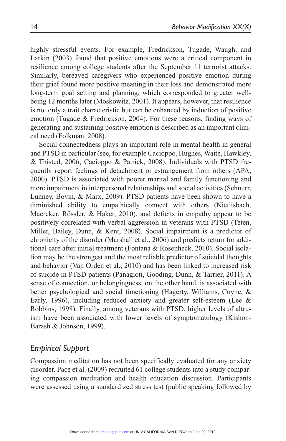highly stressful events. For example, Fredrickson, Tugade, Waugh, and Larkin (2003) found that positive emotions were a critical component in resilience among college students after the September 11 terrorist attacks. Similarly, bereaved caregivers who experienced positive emotion during their grief found more positive meaning in their loss and demonstrated more long-term goal setting and planning, which corresponded to greater wellbeing 12 months later (Moskowitz, 2001). It appears, however, that resilience is not only a trait characteristic but can be enhanced by induction of positive emotion (Tugade & Fredrickson, 2004). For these reasons, finding ways of generating and sustaining positive emotion is described as an important clinical need (Folkman, 2008).

Social connectedness plays an important role in mental health in general and PTSD in particular (see, for example Cacioppo, Hughes, Waite, Hawkley, & Thisted, 2006; Cacioppo & Patrick, 2008). Individuals with PTSD frequently report feelings of detachment or estrangement from others (APA, 2000). PTSD is associated with poorer marital and family functioning and more impairment in interpersonal relationships and social activities (Schnurr, Lunney, Bovin, & Marx, 2009). PTSD patients have been shown to have a diminished ability to empathically connect with others (Nietlisbach, Maercker, Rössler, & Haker, 2010), and deficits in empathy appear to be positively correlated with verbal aggression in veterans with PTSD (Teten, Miller, Bailey, Dunn, & Kent, 2008). Social impairment is a predictor of chronicity of the disorder (Marshall et al., 2006) and predicts return for additional care after initial treatment (Fontana & Rosenheck, 2010). Social isolation may be the strongest and the most reliable predictor of suicidal thoughts and behavior (Van Orden et al., 2010) and has been linked to increased risk of suicide in PTSD patients (Panagioti, Gooding, Dunn, & Tarrier, 2011). A sense of connection, or belongingness, on the other hand, is associated with better psychological and social functioning (Hagerty, Williams, Coyne, & Early, 1996), including reduced anxiety and greater self-esteem (Lee & Robbins, 1998). Finally, among veterans with PTSD, higher levels of altruism have been associated with lower levels of symptomatology (Kishon-Barash & Johnson, 1999).

### *Empirical Support*

Compassion meditation has not been specifically evaluated for any anxiety disorder. Pace et al. (2009) recruited 61 college students into a study comparing compassion meditation and health education discussion. Participants were assessed using a standardized stress test (public speaking followed by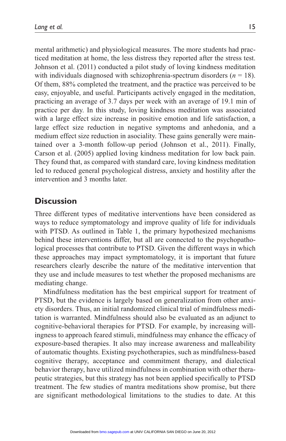mental arithmetic) and physiological measures. The more students had practiced meditation at home, the less distress they reported after the stress test. Johnson et al. (2011) conducted a pilot study of loving kindness meditation with individuals diagnosed with schizophrenia-spectrum disorders  $(n = 18)$ . Of them, 88% completed the treatment, and the practice was perceived to be easy, enjoyable, and useful. Participants actively engaged in the meditation, practicing an average of 3.7 days per week with an average of 19.1 min of practice per day. In this study, loving kindness meditation was associated with a large effect size increase in positive emotion and life satisfaction, a large effect size reduction in negative symptoms and anhedonia, and a medium effect size reduction in asociality. These gains generally were maintained over a 3-month follow-up period (Johnson et al., 2011). Finally, Carson et al. (2005) applied loving kindness meditation for low back pain. They found that, as compared with standard care, loving kindness meditation led to reduced general psychological distress, anxiety and hostility after the intervention and 3 months later.

### **Discussion**

Three different types of meditative interventions have been considered as ways to reduce symptomatology and improve quality of life for individuals with PTSD. As outlined in Table 1, the primary hypothesized mechanisms behind these interventions differ, but all are connected to the psychopathological processes that contribute to PTSD. Given the different ways in which these approaches may impact symptomatology, it is important that future researchers clearly describe the nature of the meditative intervention that they use and include measures to test whether the proposed mechanisms are mediating change.

Mindfulness meditation has the best empirical support for treatment of PTSD, but the evidence is largely based on generalization from other anxiety disorders. Thus, an initial randomized clinical trial of mindfulness meditation is warranted. Mindfulness should also be evaluated as an adjunct to cognitive-behavioral therapies for PTSD. For example, by increasing willingness to approach feared stimuli, mindfulness may enhance the efficacy of exposure-based therapies. It also may increase awareness and malleability of automatic thoughts. Existing psychotherapies, such as mindfulness-based cognitive therapy, acceptance and commitment therapy, and dialectical behavior therapy, have utilized mindfulness in combination with other therapeutic strategies, but this strategy has not been applied specifically to PTSD treatment. The few studies of mantra meditations show promise, but there are significant methodological limitations to the studies to date. At this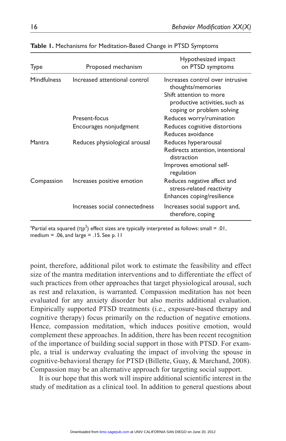| Type        | Proposed mechanism             | Hypothesized impact<br>on PTSD symptoms                                                                                                         |
|-------------|--------------------------------|-------------------------------------------------------------------------------------------------------------------------------------------------|
| Mindfulness | Increased attentional control  | Increases control over intrusive<br>thoughts/memories<br>Shift attention to more<br>productive activities, such as<br>coping or problem solving |
|             | Present-focus                  | Reduces worry/rumination                                                                                                                        |
|             | Encourages nonjudgment         | Reduces cognitive distortions<br>Reduces avoidance                                                                                              |
| Mantra      | Reduces physiological arousal  | Reduces hyperarousal<br>Redirects attention, intentional<br>distraction                                                                         |
|             |                                | Improves emotional self-<br>regulation                                                                                                          |
| Compassion  | Increases positive emotion     | Reduces negative affect and<br>stress-related reactivity<br>Enhances coping/resilience                                                          |
|             | Increases social connectedness | Increases social support and,<br>therefore, coping                                                                                              |

#### **Table 1.** Mechanisms for Meditation-Based Change in PTSD Symptoms

<sup>a</sup>Partial eta squared (ηp<sup>2</sup>) effect sizes are typically interpreted as follows: small = .01, medium =  $.06$ , and large =  $.15$ . See p. 11

point, therefore, additional pilot work to estimate the feasibility and effect size of the mantra meditation interventions and to differentiate the effect of such practices from other approaches that target physiological arousal, such as rest and relaxation, is warranted. Compassion meditation has not been evaluated for any anxiety disorder but also merits additional evaluation. Empirically supported PTSD treatments (i.e., exposure-based therapy and cognitive therapy) focus primarily on the reduction of negative emotions. Hence, compassion meditation, which induces positive emotion, would complement these approaches. In addition, there has been recent recognition of the importance of building social support in those with PTSD. For example, a trial is underway evaluating the impact of involving the spouse in cognitive-behavioral therapy for PTSD (Billette, Guay, & Marchand, 2008). Compassion may be an alternative approach for targeting social support.

It is our hope that this work will inspire additional scientific interest in the study of meditation as a clinical tool. In addition to general questions about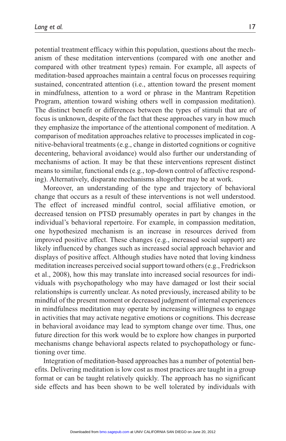potential treatment efficacy within this population, questions about the mechanism of these meditation interventions (compared with one another and compared with other treatment types) remain. For example, all aspects of meditation-based approaches maintain a central focus on processes requiring sustained, concentrated attention (i.e., attention toward the present moment in mindfulness, attention to a word or phrase in the Mantram Repetition Program, attention toward wishing others well in compassion meditation). The distinct benefit or differences between the types of stimuli that are of focus is unknown, despite of the fact that these approaches vary in how much they emphasize the importance of the attentional component of meditation. A comparison of meditation approaches relative to processes implicated in cognitive-behavioral treatments (e.g., change in distorted cognitions or cognitive decentering, behavioral avoidance) would also further our understanding of mechanisms of action. It may be that these interventions represent distinct means to similar, functional ends (e.g., top-down control of affective responding). Alternatively, disparate mechanisms altogether may be at work.

Moreover, an understanding of the type and trajectory of behavioral change that occurs as a result of these interventions is not well understood. The effect of increased mindful control, social affiliative emotion, or decreased tension on PTSD presumably operates in part by changes in the individual's behavioral repertoire. For example, in compassion meditation, one hypothesized mechanism is an increase in resources derived from improved positive affect. These changes (e.g., increased social support) are likely influenced by changes such as increased social approach behavior and displays of positive affect. Although studies have noted that loving kindness meditation increases perceived social support toward others (e.g., Fredrickson et al., 2008), how this may translate into increased social resources for individuals with psychopathology who may have damaged or lost their social relationships is currently unclear. As noted previously, increased ability to be mindful of the present moment or decreased judgment of internal experiences in mindfulness meditation may operate by increasing willingness to engage in activities that may activate negative emotions or cognitions. This decrease in behavioral avoidance may lead to symptom change over time. Thus, one future direction for this work would be to explore how changes in purported mechanisms change behavioral aspects related to psychopathology or functioning over time.

Integration of meditation-based approaches has a number of potential benefits. Delivering meditation is low cost as most practices are taught in a group format or can be taught relatively quickly. The approach has no significant side effects and has been shown to be well tolerated by individuals with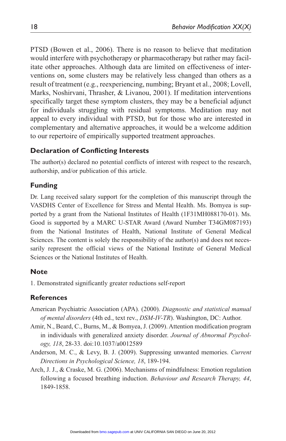PTSD (Bowen et al., 2006). There is no reason to believe that meditation would interfere with psychotherapy or pharmacotherapy but rather may facilitate other approaches. Although data are limited on effectiveness of interventions on, some clusters may be relatively less changed than others as a result of treatment (e.g., reexperiencing, numbing; Bryant et al., 2008; Lovell, Marks, Noshirvani, Thrasher, & Livanou, 2001). If meditation interventions specifically target these symptom clusters, they may be a beneficial adjunct for individuals struggling with residual symptoms. Meditation may not appeal to every individual with PTSD, but for those who are interested in complementary and alternative approaches, it would be a welcome addition to our repertoire of empirically supported treatment approaches.

#### **Declaration of Conflicting Interests**

The author(s) declared no potential conflicts of interest with respect to the research, authorship, and/or publication of this article.

#### **Funding**

Dr. Lang received salary support for the completion of this manuscript through the VASDHS Center of Excellence for Stress and Mental Health. Ms. Bomyea is supported by a grant from the National Institutes of Health (1F31MH088170-01). Ms. Good is supported by a MARC U-STAR Award (Award Number T34GM087193) from the National Institutes of Health, National Institute of General Medical Sciences. The content is solely the responsibility of the author(s) and does not necessarily represent the official views of the National Institute of General Medical Sciences or the National Institutes of Health.

#### **Note**

1. Demonstrated significantly greater reductions self-report

#### **References**

- American Psychiatric Association (APA). (2000). *Diagnostic and statistical manual of mental disorders* (4th ed., text rev., *DSM-IV-TR*). Washington, DC: Author.
- Amir, N., Beard, C., Burns, M., & Bomyea, J. (2009). Attention modification program in individuals with generalized anxiety disorder. *Journal of Abnormal Psychology, 118*, 28-33. doi:10.1037/a0012589
- Anderson, M. C., & Levy, B. J. (2009). Suppressing unwanted memories. *Current Directions in Psychological Science, 18*, 189-194.
- Arch, J. J., & Craske, M. G. (2006). Mechanisms of mindfulness: Emotion regulation following a focused breathing induction. *Behaviour and Research Therapy, 44*, 1849-1858.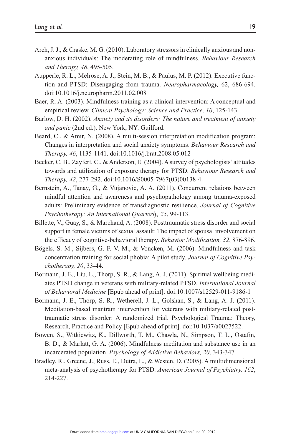- Arch, J. J., & Craske, M. G. (2010). Laboratory stressors in clinically anxious and nonanxious individuals: The moderating role of mindfulness. *Behaviour Research and Therapy, 48*, 495-505.
- Aupperle, R. L., Melrose, A. J., Stein, M. B., & Paulus, M. P. (2012). Executive function and PTSD: Disengaging from trauma. *Neuropharmacology,* 62, 686-694. doi:10.1016/j.neuropharm.2011.02.008
- Baer, R. A. (2003). Mindfulness training as a clinical intervention: A conceptual and empirical review. *Clinical Psychology: Science and Practice, 10*, 125-143.
- Barlow, D. H. (2002). *Anxiety and its disorders: The nature and treatment of anxiety and panic* (2nd ed.). New York, NY: Guilford.
- Beard, C., & Amir, N. (2008). A multi-session interpretation modification program: Changes in interpretation and social anxiety symptoms. *Behaviour Research and Therapy, 46*, 1135-1141. doi:10.1016/j.brat.2008.05.012
- Becker, C. B., Zayfert, C., & Anderson, E. (2004). A survey of psychologists' attitudes towards and utilization of exposure therapy for PTSD. *Behaviour Research and Therapy, 42*, 277-292. doi:10.1016/S0005-7967(03)00138-4
- Bernstein, A., Tanay, G., & Vujanovic, A. A. (2011). Concurrent relations between mindful attention and awareness and psychopathology among trauma-exposed adults: Preliminary evidence of transdiagnostic resilience. *Journal of Cognitive Psychotherapy: An International Quarterly, 25*, 99-113.
- Billette, V., Guay, S., & Marchand, A. (2008). Posttraumatic stress disorder and social support in female victims of sexual assault: The impact of spousal involvement on the efficacy of cognitive-behavioral therapy. *Behavior Modification, 32*, 876-896.
- Bögels, S. M., Sijbers, G. F. V. M., & Voncken, M. (2006). Mindfulness and task concentration training for social phobia: A pilot study. *Journal of Cognitive Psychotherapy, 20*, 33-44.
- Bormann, J. E., Liu, L., Thorp, S. R., & Lang, A. J. (2011). Spiritual wellbeing mediates PTSD change in veterans with military-related PTSD. *International Journal of Behavioral Medicine* [Epub ahead of print]. doi:10.1007/s12529-011-9186-1
- Bormann, J. E., Thorp, S. R., Wetherell, J. L., Golshan, S., & Lang, A. J. (2011). Meditation-based mantram intervention for veterans with military-related posttraumatic stress disorder: A randomized trial. Psychological Trauma: Theory, Research, Practice and Policy [Epub ahead of print]. doi:10.1037/a0027522.
- Bowen, S., Witkiewitz, K., Dillworth, T. M., Chawla, N., Simpson, T. L., Ostafin, B. D., & Marlatt, G. A. (2006). Mindfulness meditation and substance use in an incarcerated population. *Psychology of Addictive Behaviors, 20*, 343-347.
- Bradley, R., Greene, J., Russ, E., Dutra, L., & Westen, D. (2005). A multidimensional meta-analysis of psychotherapy for PTSD. *American Journal of Psychiatry, 162*, 214-227.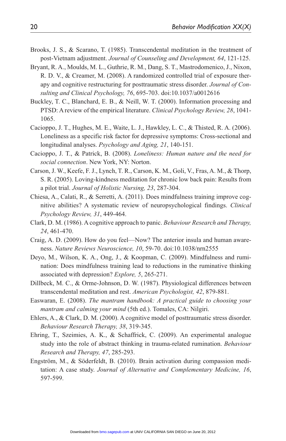- Brooks, J. S., & Scarano, T. (1985). Transcendental meditation in the treatment of post-Vietnam adjustment. *Journal of Counseling and Development, 64*, 121-125.
- Bryant, R. A., Moulds, M. L., Guthrie, R. M., Dang, S. T., Mastrodomenico, J., Nixon, R. D. V., & Creamer, M. (2008). A randomized controlled trial of exposure therapy and cognitive restructuring for posttraumatic stress disorder. *Journal of Consulting and Clinical Psychology, 76*, 695-703. doi:10.1037/a0012616
- Buckley, T. C., Blanchard, E. B., & Neill, W. T. (2000). Information processing and PTSD: A review of the empirical literature. *Clinical Psychology Review, 28*, 1041- 1065.
- Cacioppo, J. T., Hughes, M. E., Waite, L. J., Hawkley, L. C., & Thisted, R. A. (2006). Loneliness as a specific risk factor for depressive symptoms: Cross-sectional and longitudinal analyses. *Psychology and Aging, 21*, 140-151.
- Cacioppo, J. T., & Patrick, B. (2008). *Loneliness: Human nature and the need for social connection*. New York, NY: Norton.
- Carson, J. W., Keefe, F. J., Lynch, T. R., Carson, K. M., Goli, V., Fras, A. M., & Thorp, S. R. (2005). Loving-kindness meditation for chronic low back pain: Results from a pilot trial. *Journal of Holistic Nursing, 23*, 287-304.
- Chiesa, A., Calati, R., & Serretti, A. (2011). Does mindfulness training improve cognitive abilities? A systematic review of neuropsychological findings. *Clinical Psychology Review, 31*, 449-464.
- Clark, D. M. (1986). A cognitive approach to panic. *Behaviour Research and Therapy, 24*, 461-470.
- Craig, A. D. (2009). How do you feel—Now? The anterior insula and human awareness. *Nature Reviews Neuroscience, 10*, 59-70. doi:10.1038/nrn2555
- Deyo, M., Wilson, K. A., Ong, J., & Koopman, C. (2009). Mindfulness and rumination: Does mindfulness training lead to reductions in the ruminative thinking associated with depression? *Explore, 5*, 265-271.
- Dillbeck, M. C., & Orme-Johnson, D. W. (1987). Physiological differences between transcendental meditation and rest. *American Psychologist, 42*, 879-881.
- Easwaran, E. (2008). *The mantram handbook: A practical guide to choosing your mantram and calming your mind* (5th ed.). Tomales, CA: Nilgiri.
- Ehlers, A., & Clark, D. M. (2000). A cognitive model of posttraumatic stress disorder. *Behaviour Research Therapy, 38*, 319-345.
- Ehring, T., Szeimies, A. K., & Schaffrick, C. (2009). An experimental analogue study into the role of abstract thinking in trauma-related rumination. *Behaviour Research and Therapy, 47*, 285-293.
- Engström, M., & Söderfeldt, B. (2010). Brain activation during compassion meditation: A case study. *Journal of Alternative and Complementary Medicine, 16*, 597-599.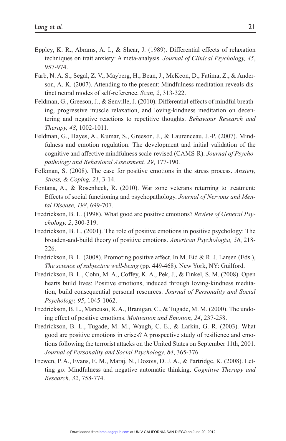- Eppley, K. R., Abrams, A. I., & Shear, J. (1989). Differential effects of relaxation techniques on trait anxiety: A meta-analysis. *Journal of Clinical Psychology, 45*, 957-974.
- Farb, N. A. S., Segal, Z. V., Mayberg, H., Bean, J., McKeon, D., Fatima, Z., & Anderson, A. K. (2007). Attending to the present: Mindfulness meditation reveals distinct neural modes of self-reference. *Scan, 2*, 313-322.
- Feldman, G., Greeson, J., & Senville, J. (2010). Differential effects of mindful breathing, progressive muscle relaxation, and loving-kindness meditation on decentering and negative reactions to repetitive thoughts. *Behaviour Research and Therapy, 48*, 1002-1011.
- Feldman, G., Hayes, A., Kumar, S., Greeson, J., & Laurenceau, J.-P. (2007). Mindfulness and emotion regulation: The development and initial validation of the cognitive and affective mindfulness scale-revised (CAMS-R). *Journal of Psychopathology and Behavioral Assessment, 29*, 177-190.
- Folkman, S. (2008). The case for positive emotions in the stress process. *Anxiety, Stress, & Coping, 21*, 3-14.
- Fontana, A., & Rosenheck, R. (2010). War zone veterans returning to treatment: Effects of social functioning and psychopathology. *Journal of Nervous and Mental Disease, 198*, 699-707.
- Fredrickson, B. L. (1998). What good are positive emotions? *Review of General Psychology, 2*, 300-319.
- Fredrickson, B. L. (2001). The role of positive emotions in positive psychology: The broaden-and-build theory of positive emotions. *American Psychologist, 56*, 218- 226.
- Fredrickson, B. L. (2008). Promoting positive affect. In M. Eid & R. J. Larsen (Eds.), *The science of subjective well-being* (pp. 449-468). New York, NY: Guilford.
- Fredrickson, B. L., Cohn, M. A., Coffey, K. A., Pek, J., & Finkel, S. M. (2008). Open hearts build lives: Positive emotions, induced through loving-kindness meditation, build consequential personal resources. *Journal of Personality and Social Psychology, 95*, 1045-1062.
- Fredrickson, B. L., Mancuso, R. A., Branigan, C., & Tugade, M. M. (2000). The undoing effect of positive emotions. *Motivation and Emotion, 24*, 237-258.
- Fredrickson, B. L., Tugade, M. M., Waugh, C. E., & Larkin, G. R. (2003). What good are positive emotions in crises? A prospective study of resilience and emotions following the terrorist attacks on the United States on September 11th, 2001. *Journal of Personality and Social Psychology, 84*, 365-376.
- Frewen, P. A., Evans, E. M., Maraj, N., Dozois, D. J. A., & Partridge, K. (2008). Letting go: Mindfulness and negative automatic thinking. *Cognitive Therapy and Research, 32*, 758-774.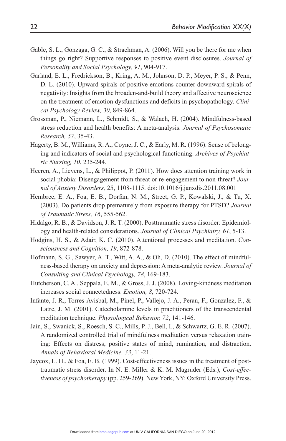- Gable, S. L., Gonzaga, G. C., & Strachman, A. (2006). Will you be there for me when things go right? Supportive responses to positive event disclosures. *Journal of Personality and Social Psychology, 91*, 904-917.
- Garland, E. L., Fredrickson, B., Kring, A. M., Johnson, D. P., Meyer, P. S., & Penn, D. L. (2010). Upward spirals of positive emotions counter downward spirals of negativity: Insights from the broaden-and-build theory and affective neuroscience on the treatment of emotion dysfunctions and deficits in psychopathology. *Clinical Psychology Review, 30*, 849-864.
- Grossman, P., Niemann, L., Schmidt, S., & Walach, H. (2004). Mindfulness-based stress reduction and health benefits: A meta-analysis. *Journal of Psychosomatic Research, 57*, 35-43.
- Hagerty, B. M., Williams, R. A., Coyne, J. C., & Early, M. R. (1996). Sense of belonging and indicators of social and psychological functioning. *Archives of Psychiatric Nursing, 10*, 235-244.
- Heeren, A., Lievens, L., & Philippot, P. (2011). How does attention training work in social phobia: Disengagement from threat or re-engagement to non-threat? *Journal of Anxiety Disorders,* 25, 1108-1115. doi:10.1016/j.janxdis.2011.08.001
- Hembree, E. A., Foa, E. B., Dorfan, N. M., Street, G. P., Kowalski, J., & Tu, X. (2003). Do patients drop prematurely from exposure therapy for PTSD? *Journal of Traumatic Stress, 16*, 555-562.
- Hidalgo, R. B., & Davidson, J. R. T. (2000). Posttraumatic stress disorder: Epidemiology and health-related considerations. *Journal of Clinical Psychiatry, 61*, 5-13.
- Hodgins, H. S., & Adair, K. C. (2010). Attentional processes and meditation. *Consciousness and Cognition, 19*, 872-878.
- Hofmann, S. G., Sawyer, A. T., Witt, A. A., & Oh, D. (2010). The effect of mindfulness-based therapy on anxiety and depression: A meta-analytic review. *Journal of Consulting and Clinical Psychology, 78*, 169-183.
- Hutcherson, C. A., Seppala, E. M., & Gross, J. J. (2008). Loving-kindness meditation increases social connectedness. *Emotion, 8*, 720-724.
- Infante, J. R., Torres-Avisbal, M., Pinel, P., Vallejo, J. A., Peran, F., Gonzalez, F., & Latre, J. M. (2001). Catecholamine levels in practitioners of the transcendental meditation technique. *Physiological Behavior, 72*, 141-146.
- Jain, S., Swanick, S., Roesch, S. C., Mills, P. J., Bell, I., & Schwartz, G. E. R. (2007). A randomized controlled trial of mindfulness meditation versus relaxation training: Effects on distress, positive states of mind, rumination, and distraction. *Annals of Behavioral Medicine, 33*, 11-21.
- Jaycox, L. H., & Foa, E. B. (1999). Cost-effectiveness issues in the treatment of posttraumatic stress disorder. In N. E. Miller & K. M. Magruder (Eds.), *Cost-effectiveness of psychotherapy* (pp. 259-269). New York, NY: Oxford University Press.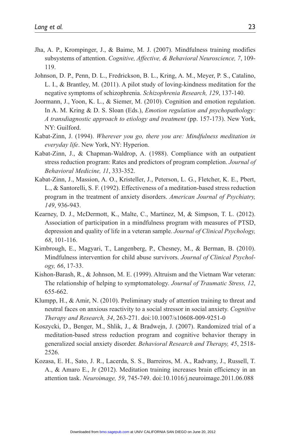- Jha, A. P., Krompinger, J., & Baime, M. J. (2007). Mindfulness training modifies subsystems of attention. *Cognitive, Affective, & Behavioral Neuroscience, 7*, 109- 119.
- Johnson, D. P., Penn, D. L., Fredrickson, B. L., Kring, A. M., Meyer, P. S., Catalino, L. I., & Brantley, M. (2011). A pilot study of loving-kindness meditation for the negative symptoms of schizophrenia. *Schizophrenia Research, 129*, 137-140.
- Joormann, J., Yoon, K. L., & Siemer, M. (2010). Cognition and emotion regulation. In A. M. Kring & D. S. Sloan (Eds.), *Emotion regulation and psychopathology: A transdiagnostic approach to etiology and treatment* (pp. 157-173). New York, NY: Guilford.
- Kabat-Zinn, J. (1994). *Wherever you go, there you are: Mindfulness meditation in everyday life*. New York, NY: Hyperion.
- Kabat-Zinn, J., & Chapman-Waldrop, A. (1988). Compliance with an outpatient stress reduction program: Rates and predictors of program completion. *Journal of Behavioral Medicine, 11*, 333-352.
- Kabat-Zinn, J., Massion, A. O., Kristeller, J., Peterson, L. G., Fletcher, K. E., Pbert, L., & Santorelli, S. F. (1992). Effectiveness of a meditation-based stress reduction program in the treatment of anxiety disorders. *American Journal of Psychiatry, 149*, 936-943.
- Kearney, D. J., McDermott, K., Malte, C., Martinez, M, & Simpson, T. L. (2012). Association of participation in a mindfulness program with measures of PTSD, depression and quality of life in a veteran sample. *Journal of Clinical Psychology, 68*, 101-116.
- Kimbrough, E., Magyari, T., Langenberg, P., Chesney, M., & Berman, B. (2010). Mindfulness intervention for child abuse survivors. *Journal of Clinical Psychology, 66*, 17-33.
- Kishon-Barash, R., & Johnson, M. E. (1999). Altruism and the Vietnam War veteran: The relationship of helping to symptomatology. *Journal of Traumatic Stress, 12*, 655-662.
- Klumpp, H., & Amir, N. (2010). Preliminary study of attention training to threat and neutral faces on anxious reactivity to a social stressor in social anxiety. *Cognitive Therapy and Research, 34*, 263-271. doi:10.1007/s10608-009-9251-0
- Koszycki, D., Benger, M., Shlik, J., & Bradwejn, J. (2007). Randomized trial of a meditation-based stress reduction program and cognitive behavior therapy in generalized social anxiety disorder. *Behavioral Research and Therapy, 45*, 2518- 2526.
- Kozasa, E. H., Sato, J. R., Lacerda, S. S., Barreiros, M. A., Radvany, J., Russell, T. A., & Amaro E., Jr (2012). Meditation training increases brain efficiency in an attention task. *Neuroimage, 59*, 745-749. doi:10.1016/j.neuroimage.2011.06.088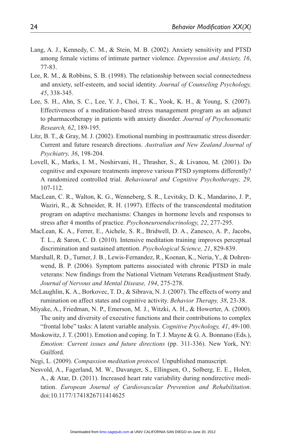- Lang, A. J., Kennedy, C. M., & Stein, M. B. (2002). Anxiety sensitivity and PTSD among female victims of intimate partner violence. *Depression and Anxiety, 16*, 77-83.
- Lee, R. M., & Robbins, S. B. (1998). The relationship between social connectedness and anxiety, self-esteem, and social identity. *Journal of Counseling Psychology, 45*, 338-345.
- Lee, S. H., Ahn, S. C., Lee, Y. J., Choi, T. K., Yook, K. H., & Young, S. (2007). Effectiveness of a meditation-based stress management program as an adjunct to pharmacotherapy in patients with anxiety disorder. *Journal of Psychosomatic Research, 62*, 189-195.
- Litz, B. T., & Gray, M. J. (2002). Emotional numbing in posttraumatic stress disorder: Current and future research directions. *Australian and New Zealand Journal of Psychiatry, 36*, 198-204.
- Lovell, K., Marks, I. M., Noshirvani, H., Thrasher, S., & Livanou, M. (2001). Do cognitive and exposure treatments improve various PTSD symptoms differently? A randomized controlled trial. *Behavioural and Cognitive Psychotherapy, 29*, 107-112.
- MacLean, C. R., Walton, K. G., Wenneberg, S. R., Levitsky, D. K., Mandarino, J. P., Waziri, R., & Schneider, R. H. (1997). Effects of the transcendental meditation program on adaptive mechanisms: Changes in hormone levels and responses to stress after 4 months of practice. *Psychoneuroendocrinology, 22*, 277-295.
- MacLean, K. A., Ferrer, E., Aichele, S. R., Bridwell, D. A., Zanesco, A. P., Jacobs, T. L., & Saron, C. D. (2010). Intensive meditation training improves perceptual discrimination and sustained attention. *Psychological Science, 21*, 829-839.
- Marshall, R. D., Turner, J. B., Lewis-Fernandez, R., Koenan, K., Neria, Y., & Dohrenwend, B. P. (2006). Symptom patterns associated with chronic PTSD in male veterans: New findings from the National Vietnam Veterans Readjustment Study. *Journal of Nervous and Mental Disease, 194*, 275-278.
- McLaughlin, K. A., Borkovec, T. D., & Sibrava, N. J. (2007). The effects of worry and rumination on affect states and cognitive activity. *Behavior Therapy, 38*, 23-38.
- Miyake, A., Friedman, N. P., Emerson, M. J., Witzki, A. H., & Howerter, A. (2000). The unity and diversity of executive functions and their contributions to complex "frontal lobe" tasks: A latent variable analysis. *Cognitive Psychology, 41*, 49-100.
- Moskowitz, J. T. (2001). Emotion and coping. In T. J. Mayne & G. A. Bonnano (Eds.), *Emotion: Current issues and future directions* (pp. 311-336). New York, NY: Guilford.
- Negi, L. (2009). *Compassion meditation protocol.* Unpublished manuscript.
- Nesvold, A., Fagerland, M. W., Davanger, S., Ellingsen, O., Solberg, E. E., Holen, A., & Atar, D. (2011). Increased heart rate variability during nondirective meditation. *European Journal of Cardiovascular Prevention and Rehabilitation*. doi:10.1177/1741826711414625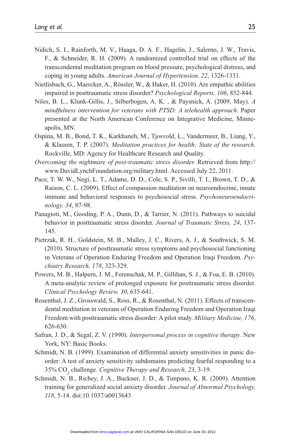- Nidich, S. I., Rainforth, M. V., Haaga, D. A. F., Hagelin, J., Salerno, J. W., Travis, F., & Schneider, R. H. (2009). A randomized controlled trial on effects of the transcendental meditation program on blood pressure, psychological distress, and coping in young adults. *American Journal of Hypertension, 22*, 1326-1331.
- Nietlisbach, G., Maercker, A., Rössler, W., & Haker, H. (2010). Are empathic abilities impaired in posttraumatic stress disorder? *Psychological Reports, 106*, 832-844.
- Niles, B. L., Klunk-Gillis, J., Silberbogen, A. K. , & Paysnick, A. (2009, May). *A mindfulness intervention for veterans with PTSD: A telehealth approach*. Paper presented at the North American Conference on Integrative Medicine, Minneapolis, MN.
- Ospina, M. B., Bond, T. K., Karkhaneh, M., Tjosvold, L., Vandermeer, B., Liang, Y., & Klassen, T. P. (2007). *Meditation practices for health: State of the research*. Rockville, MD: Agency for Healthcare Research and Quality.
- *Overcoming the nightmare of post-traumatic stress disorder.* Retrieved from http:// www.DavidLynchFoundation.org/military.html. Accessed July 22, 2011.
- Pace, T. W. W., Negi, L. T., Adame, D. D., Cole, S. P., Sivilli, T. I., Brown, T. D., & Raison, C. L. (2009). Effect of compassion meditation on neuroendocrine, innate immune and behavioral responses to psychosocial stress. *Psychoneuroendocrinology, 34*, 87-98.
- Panagioti, M., Gooding, P. A., Dunn, D., & Tarrier, N. (2011). Pathways to suicidal behavior in posttraumatic stress disorder. *Journal of Traumatic Stress, 24*, 137- 145.
- Pietrzak, R. H., Goldstein, M. B., Malley, J. C., Rivers, A. J., & Southwick, S. M. (2010). Structure of posttraumatic stress symptoms and psychosocial functioning in Veterans of Operation Enduring Freedom and Operation Iraqi Freedom. *Psychiatry Research, 178*, 323-329.
- Powers, M. B., Halpern, J. M., Ferenschak, M. P., Gillihan, S. J., & Foa, E. B. (2010). A meta-analytic review of prolonged exposure for posttraumatic stress disorder. *Clinical Psychology Review, 30*, 635-641.
- Rosenthal, J. Z., Grosswald, S., Ross, R., & Rosenthal, N. (2011). Effects of transcendental meditation in veterans of Operation Enduring Freedom and Operation Iraqi Freedom with posttraumatic stress disorder: A pilot study. *Military Medicine, 176*, 626-630.
- Safran, J. D., & Segal, Z. V. (1990). *Interpersonal process in cognitive therapy*. New York, NY: Basic Books.
- Schmidt, N. B. (1999). Examination of differential anxiety sensitivities in panic disorder: A test of anxiety sensitivity subdomains predicting fearful responding to a 35% CO2 challenge. *Cognitive Therapy and Research, 23*, 3-19.
- Schmidt, N. B., Richey, J. A., Buckner, J. D., & Timpano, K. R. (2009). Attention training for generalized social anxiety disorder. *Journal of Abnormal Psychology, 118*, 5-14. doi:10.1037/a0013643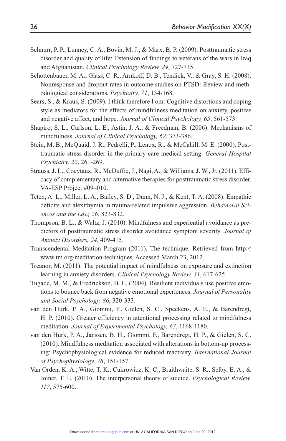- Schnurr, P. P., Lunney, C. A., Bovin, M. J., & Marx, B. P. (2009). Posttraumatic stress disorder and quality of life: Extension of findings to veterans of the wars in Iraq and Afghanistan. *Clinical Psychology Review, 29*, 727-735.
- Schottenbauer, M. A., Glass, C. R., Arnkoff, D. B., Tendick, V., & Gray, S. H. (2008). Nonresponse and dropout rates in outcome studies on PTSD: Review and methodological considerations. *Psychiatry, 71*, 134-168.
- Sears, S., & Kraus, S. (2009). I think therefore I om: Cognitive distortions and coping style as mediators for the effects of mindfulness meditation on anxiety, positive and negative affect, and hope. *Journal of Clinical Psychology, 65*, 561-573.
- Shapiro, S. L., Carlson, L. E., Astin, J. A., & Freedman, B. (2006). Mechanisms of mindfulness. *Journal of Clinical Psychology, 62*, 373-386.
- Stein, M. B., McQuaid, J. R., Pedrelli, P., Lenox, R., & McCahill, M. E. (2000). Posttraumatic stress disorder in the primary care medical setting. *General Hospital Psychiatry, 22*, 261-269.
- Strauss, J. L., Coeytaux, R., McDuffie, J., Nagi, A., & Williams, J. W., Jr. (2011). Efficacy of complementary and alternative therapies for posttraumatic stress disorder. VA-ESP Project #09–010.
- Teten, A. L., Miller, L. A., Bailey, S. D., Dunn, N. J., & Kent, T. A. (2008). Empathic deficits and alexithymia in trauma-related impulsive aggression. *Behavioral Sciences and the Law, 26*, 823-832.
- Thompson, B. L., & Waltz, J. (2010). Mindfulness and experiential avoidance as predictors of posttraumatic stress disorder avoidance symptom severity. *Journal of Anxiety Disorders, 24*, 409-415.
- Transcendental Meditation Program (2011). The technique. Retrieved from http:// www.tm.org/meditation-techniques. Accessed March 23, 2012.
- Treanor, M. (2011). The potential impact of mindfulness on exposure and extinction learning in anxiety disorders. *Clinical Psychology Review, 31*, 617-625.
- Tugade, M. M., & Fredrickson, B. L. (2004). Resilient individuals use positive emotions to bounce back from negative emotional experiences. *Journal of Personality and Social Psychology, 86*, 320-333.
- van den Hurk, P. A., Giommi, F., Gielen, S. C., Speckens, A. E., & Barendregt, H. P. (2010). Greater efficiency in attentional processing related to mindfulness meditation. *Journal of Experimental Psychology, 63*, 1168-1180.
- van den Hurk, P. A., Janssen, B. H., Giommi, F., Barendregt, H. P., & Gielen, S. C. (2010). Mindfulness meditation associated with alterations in bottom-up processing: Psychophysiological evidence for reduced reactivity. *International Journal of Psychophysiology, 78*, 151-157.
- Van Orden, K. A., Witte, T. K., Cukrowicz, K. C., Braithwaite, S. R., Selby, E. A., & Joiner, T. E. (2010). The interpersonal theory of suicide. *Psychological Review, 117*, 575-600.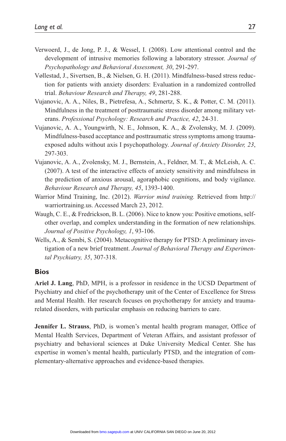- Verwoerd, J., de Jong, P. J., & Wessel, I. (2008). Low attentional control and the development of intrusive memories following a laboratory stressor. *Journal of Psychopathology and Behavioral Assessment, 30*, 291-297.
- Vøllestad, J., Sivertsen, B., & Nielsen, G. H. (2011). Mindfulness-based stress reduction for patients with anxiety disorders: Evaluation in a randomized controlled trial. *Behaviour Research and Therapy, 49*, 281-288.
- Vujanovic, A. A., Niles, B., Pietrefesa, A., Schmertz, S. K., & Potter, C. M. (2011). Mindfulness in the treatment of posttraumatic stress disorder among military veterans. *Professional Psychology: Research and Practice, 42*, 24-31.
- Vujanovic, A. A., Youngwirth, N. E., Johnson, K. A., & Zvolensky, M. J. (2009). Mindfulness-based acceptance and posttraumatic stress symptoms among traumaexposed adults without axis I psychopathology. *Journal of Anxiety Disorder, 23*, 297-303.
- Vujanovic, A. A., Zvolensky, M. J., Bernstein, A., Feldner, M. T., & McLeish, A. C. (2007). A test of the interactive effects of anxiety sensitivity and mindfulness in the prediction of anxious arousal, agoraphobic cognitions, and body vigilance. *Behaviour Research and Therapy, 45*, 1393-1400.
- Warrior Mind Training, Inc. (2012). *Warrior mind training.* Retrieved from http:// warriortraining.us. Accessed March 23, 2012.
- Waugh, C. E., & Fredrickson, B. L. (2006). Nice to know you: Positive emotions, selfother overlap, and complex understanding in the formation of new relationships. *Journal of Positive Psychology, 1*, 93-106.
- Wells, A., & Sembi, S. (2004). Metacognitive therapy for PTSD: A preliminary investigation of a new brief treatment. *Journal of Behavioral Therapy and Experimental Psychiatry, 35*, 307-318.

#### **Bios**

**Ariel J. Lang**, PhD, MPH, is a professor in residence in the UCSD Department of Psychiatry and chief of the psychotherapy unit of the Center of Excellence for Stress and Mental Health. Her research focuses on psychotherapy for anxiety and traumarelated disorders, with particular emphasis on reducing barriers to care.

**Jennifer L. Strauss**, PhD, is women's mental health program manager, Office of Mental Health Services, Department of Veteran Affairs, and assistant professor of psychiatry and behavioral sciences at Duke University Medical Center. She has expertise in women's mental health, particularly PTSD, and the integration of complementary-alternative approaches and evidence-based therapies.